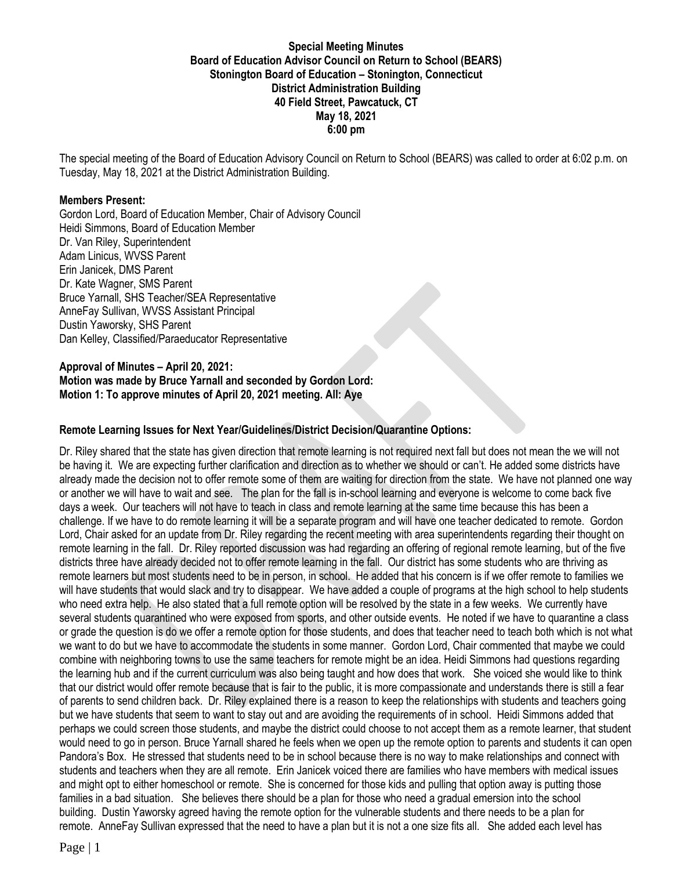#### **Special Meeting Minutes Board of Education Advisor Council on Return to School (BEARS) Stonington Board of Education – Stonington, Connecticut District Administration Building 40 Field Street, Pawcatuck, CT May 18, 2021 6:00 pm**

The special meeting of the Board of Education Advisory Council on Return to School (BEARS) was called to order at 6:02 p.m. on Tuesday, May 18, 2021 at the District Administration Building.

#### **Members Present:**

Gordon Lord, Board of Education Member, Chair of Advisory Council Heidi Simmons, Board of Education Member Dr. Van Riley, Superintendent Adam Linicus, WVSS Parent Erin Janicek, DMS Parent Dr. Kate Wagner, SMS Parent Bruce Yarnall, SHS Teacher/SEA Representative AnneFay Sullivan, WVSS Assistant Principal Dustin Yaworsky, SHS Parent Dan Kelley, Classified/Paraeducator Representative

### **Approval of Minutes – April 20, 2021: Motion was made by Bruce Yarnall and seconded by Gordon Lord: Motion 1: To approve minutes of April 20, 2021 meeting. All: Aye**

### **Remote Learning Issues for Next Year/Guidelines/District Decision/Quarantine Options:**

Dr. Riley shared that the state has given direction that remote learning is not required next fall but does not mean the we will not be having it. We are expecting further clarification and direction as to whether we should or can't. He added some districts have already made the decision not to offer remote some of them are waiting for direction from the state. We have not planned one way or another we will have to wait and see. The plan for the fall is in-school learning and everyone is welcome to come back five days a week. Our teachers will not have to teach in class and remote learning at the same time because this has been a challenge. If we have to do remote learning it will be a separate program and will have one teacher dedicated to remote. Gordon Lord, Chair asked for an update from Dr. Riley regarding the recent meeting with area superintendents regarding their thought on remote learning in the fall. Dr. Riley reported discussion was had regarding an offering of regional remote learning, but of the five districts three have already decided not to offer remote learning in the fall. Our district has some students who are thriving as remote learners but most students need to be in person, in school. He added that his concern is if we offer remote to families we will have students that would slack and try to disappear. We have added a couple of programs at the high school to help students who need extra help. He also stated that a full remote option will be resolved by the state in a few weeks. We currently have several students quarantined who were exposed from sports, and other outside events. He noted if we have to quarantine a class or grade the question is do we offer a remote option for those students, and does that teacher need to teach both which is not what we want to do but we have to accommodate the students in some manner. Gordon Lord, Chair commented that maybe we could combine with neighboring towns to use the same teachers for remote might be an idea. Heidi Simmons had questions regarding the learning hub and if the current curriculum was also being taught and how does that work. She voiced she would like to think that our district would offer remote because that is fair to the public, it is more compassionate and understands there is still a fear of parents to send children back. Dr. Riley explained there is a reason to keep the relationships with students and teachers going but we have students that seem to want to stay out and are avoiding the requirements of in school. Heidi Simmons added that perhaps we could screen those students, and maybe the district could choose to not accept them as a remote learner, that student would need to go in person. Bruce Yarnall shared he feels when we open up the remote option to parents and students it can open Pandora's Box. He stressed that students need to be in school because there is no way to make relationships and connect with students and teachers when they are all remote. Erin Janicek voiced there are families who have members with medical issues and might opt to either homeschool or remote. She is concerned for those kids and pulling that option away is putting those families in a bad situation. She believes there should be a plan for those who need a gradual emersion into the school building. Dustin Yaworsky agreed having the remote option for the vulnerable students and there needs to be a plan for remote. AnneFay Sullivan expressed that the need to have a plan but it is not a one size fits all. She added each level has

Page | 1